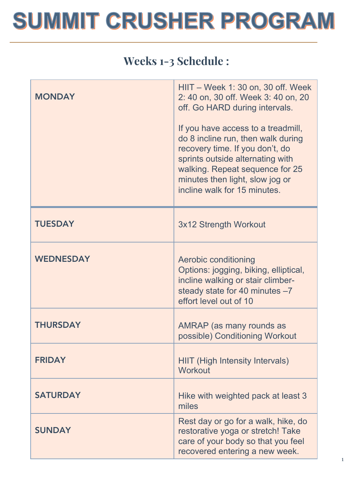### Weeks 1-3 Schedule :

| <b>MONDAY</b>    | HIIT – Week 1: 30 on, 30 off. Week<br>2: 40 on, 30 off. Week 3: 40 on, 20<br>off. Go HARD during intervals.<br>If you have access to a treadmill,<br>do 8 incline run, then walk during<br>recovery time. If you don't, do<br>sprints outside alternating with<br>walking. Repeat sequence for 25<br>minutes then light, slow jog or<br>incline walk for 15 minutes. |
|------------------|----------------------------------------------------------------------------------------------------------------------------------------------------------------------------------------------------------------------------------------------------------------------------------------------------------------------------------------------------------------------|
| <b>TUESDAY</b>   | 3x12 Strength Workout                                                                                                                                                                                                                                                                                                                                                |
| <b>WEDNESDAY</b> | Aerobic conditioning<br>Options: jogging, biking, elliptical,<br>incline walking or stair climber-<br>steady state for 40 minutes -7<br>effort level out of 10                                                                                                                                                                                                       |
| <b>THURSDAY</b>  | AMRAP (as many rounds as<br>possible) Conditioning Workout                                                                                                                                                                                                                                                                                                           |
| <b>FRIDAY</b>    | <b>HIIT (High Intensity Intervals)</b><br>Workout                                                                                                                                                                                                                                                                                                                    |
| <b>SATURDAY</b>  | Hike with weighted pack at least 3<br>miles                                                                                                                                                                                                                                                                                                                          |
| <b>SUNDAY</b>    | Rest day or go for a walk, hike, do<br>restorative yoga or stretch! Take<br>care of your body so that you feel<br>recovered entering a new week.                                                                                                                                                                                                                     |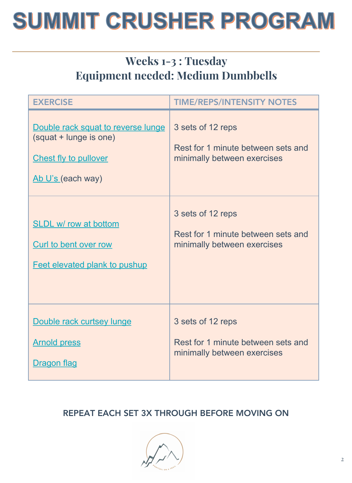### Weeks 1-3 : Tuesday Equipment needed: Medium Dumbbells

| <b>EXERCISE</b>                                                                                                   | <b>TIME/REPS/INTENSITY NOTES</b>                                                       |
|-------------------------------------------------------------------------------------------------------------------|----------------------------------------------------------------------------------------|
| Double rack squat to reverse lunge<br>(squat + lunge is one)<br><b>Chest fly to pullover</b><br>Ab U's (each way) | 3 sets of 12 reps<br>Rest for 1 minute between sets and<br>minimally between exercises |
| <b>SLDL w/ row at bottom</b>                                                                                      | 3 sets of 12 reps                                                                      |
| Curl to bent over row                                                                                             | Rest for 1 minute between sets and                                                     |
| <b>Feet elevated plank to pushup</b>                                                                              | minimally between exercises                                                            |
| Double rack curtsey lunge                                                                                         | 3 sets of 12 reps                                                                      |
| <b>Arnold press</b>                                                                                               | Rest for 1 minute between sets and                                                     |
| Dragon flag                                                                                                       | minimally between exercises                                                            |

#### REPEAT EACH SET 3X THROUGH BEFORE MOVING ON

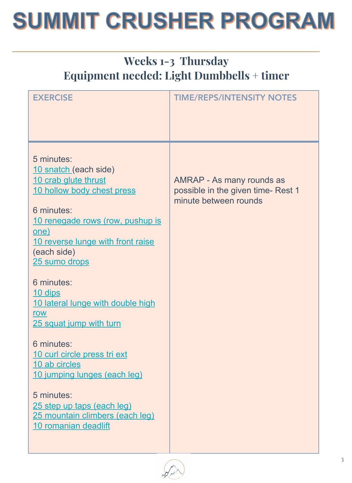### Weeks 1-3 Thursday Equipment needed: Light Dumbbells + timer

| <b>EXERCISE</b>                                                                                                                                                                                                                                                                                                                                                                                                                                                                                               | <b>TIME/REPS/INTENSITY NOTES</b>                                                         |
|---------------------------------------------------------------------------------------------------------------------------------------------------------------------------------------------------------------------------------------------------------------------------------------------------------------------------------------------------------------------------------------------------------------------------------------------------------------------------------------------------------------|------------------------------------------------------------------------------------------|
| 5 minutes:<br>10 snatch (each side)<br>10 crab glute thrust<br>10 hollow body chest press<br>6 minutes:<br>10 renegade rows (row, pushup is<br>one)<br>10 reverse lunge with front raise<br>(each side)<br>25 sumo drops<br>6 minutes:<br><u>10 dips</u><br>10 lateral lunge with double high<br>row<br>25 squat jump with turn<br>6 minutes:<br>10 curl circle press tri ext<br>10 ab circles<br>10 jumping lunges (each leg)<br>5 minutes:<br>25 step up taps (each leg)<br>25 mountain climbers (each leg) | AMRAP - As many rounds as<br>possible in the given time- Rest 1<br>minute between rounds |
| 10 romanian deadlift                                                                                                                                                                                                                                                                                                                                                                                                                                                                                          |                                                                                          |